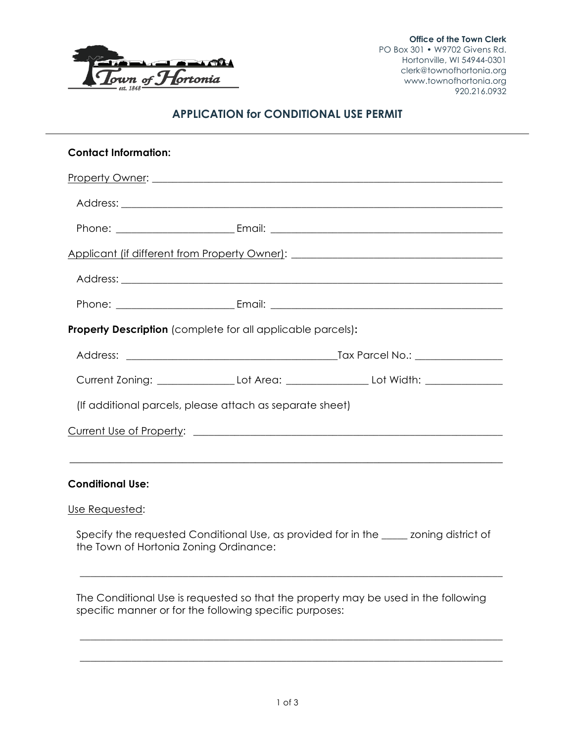

# **APPLICATION for CONDITIONAL USE PERMIT**

| <b>Contact Information:</b>                                                       |  |                                                                                                     |  |  |
|-----------------------------------------------------------------------------------|--|-----------------------------------------------------------------------------------------------------|--|--|
|                                                                                   |  |                                                                                                     |  |  |
|                                                                                   |  |                                                                                                     |  |  |
|                                                                                   |  |                                                                                                     |  |  |
| Applicant (if different from Property Owner): ___________________________________ |  |                                                                                                     |  |  |
|                                                                                   |  |                                                                                                     |  |  |
|                                                                                   |  |                                                                                                     |  |  |
| <b>Property Description</b> (complete for all applicable parcels):                |  |                                                                                                     |  |  |
|                                                                                   |  |                                                                                                     |  |  |
|                                                                                   |  |                                                                                                     |  |  |
|                                                                                   |  | Current Zoning: _____________________Lot Area: _________________________Lot Width: ________________ |  |  |
| (If additional parcels, please attach as separate sheet)                          |  |                                                                                                     |  |  |
|                                                                                   |  |                                                                                                     |  |  |
|                                                                                   |  |                                                                                                     |  |  |
| <b>Conditional Use:</b>                                                           |  |                                                                                                     |  |  |
| Use Requested:                                                                    |  |                                                                                                     |  |  |

Specify the requested Conditional Use, as provided for in the \_\_\_\_\_ zoning district of the Town of Hortonia Zoning Ordinance:

\_\_\_\_\_\_\_\_\_\_\_\_\_\_\_\_\_\_\_\_\_\_\_\_\_\_\_\_\_\_\_\_\_\_\_\_\_\_\_\_\_\_\_\_\_\_\_\_\_\_\_\_\_\_\_\_\_\_\_\_\_\_\_\_\_\_\_\_\_\_\_\_\_\_\_\_\_\_\_\_\_\_

\_\_\_\_\_\_\_\_\_\_\_\_\_\_\_\_\_\_\_\_\_\_\_\_\_\_\_\_\_\_\_\_\_\_\_\_\_\_\_\_\_\_\_\_\_\_\_\_\_\_\_\_\_\_\_\_\_\_\_\_\_\_\_\_\_\_\_\_\_\_\_\_\_\_\_\_\_\_\_\_\_\_

\_\_\_\_\_\_\_\_\_\_\_\_\_\_\_\_\_\_\_\_\_\_\_\_\_\_\_\_\_\_\_\_\_\_\_\_\_\_\_\_\_\_\_\_\_\_\_\_\_\_\_\_\_\_\_\_\_\_\_\_\_\_\_\_\_\_\_\_\_\_\_\_\_\_\_\_\_\_\_\_\_\_

The Conditional Use is requested so that the property may be used in the following specific manner or for the following specific purposes: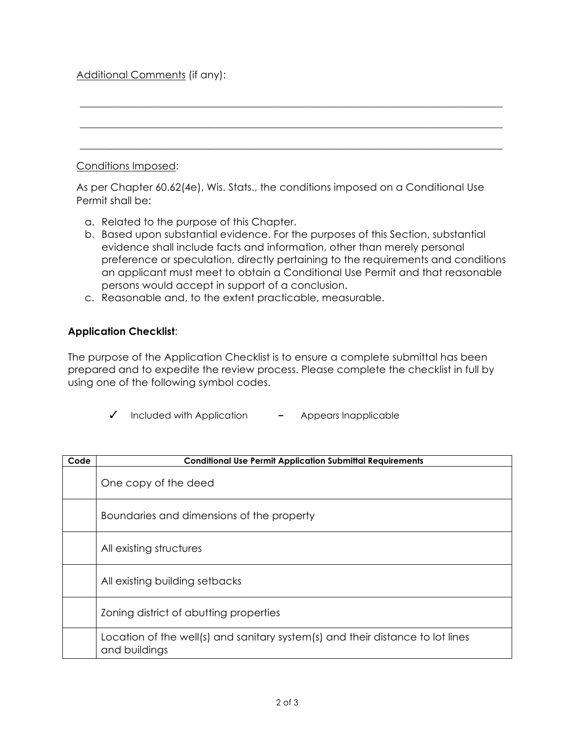# Additional Comments (if any):

#### Conditions Imposed:

As per Chapter 60.62(4e), Wis. Stats., the conditions imposed on a Conditional Use Permit shall be:

\_\_\_\_\_\_\_\_\_\_\_\_\_\_\_\_\_\_\_\_\_\_\_\_\_\_\_\_\_\_\_\_\_\_\_\_\_\_\_\_\_\_\_\_\_\_\_\_\_\_\_\_\_\_\_\_\_\_\_\_\_\_\_\_\_\_\_\_\_\_\_\_\_\_\_\_\_\_\_\_\_\_

\_\_\_\_\_\_\_\_\_\_\_\_\_\_\_\_\_\_\_\_\_\_\_\_\_\_\_\_\_\_\_\_\_\_\_\_\_\_\_\_\_\_\_\_\_\_\_\_\_\_\_\_\_\_\_\_\_\_\_\_\_\_\_\_\_\_\_\_\_\_\_\_\_\_\_\_\_\_\_\_\_\_

\_\_\_\_\_\_\_\_\_\_\_\_\_\_\_\_\_\_\_\_\_\_\_\_\_\_\_\_\_\_\_\_\_\_\_\_\_\_\_\_\_\_\_\_\_\_\_\_\_\_\_\_\_\_\_\_\_\_\_\_\_\_\_\_\_\_\_\_\_\_\_\_\_\_\_\_\_\_\_\_\_\_

- a. Related to the purpose of this Chapter.
- b. Based upon substantial evidence. For the purposes of this Section, substantial evidence shall include facts and information, other than merely personal preference or speculation, directly pertaining to the requirements and conditions an applicant must meet to obtain a Conditional Use Permit and that reasonable persons would accept in support of a conclusion.
- c. Reasonable and, to the extent practicable, measurable.

#### **Application Checklist**:

The purpose of the Application Checklist is to ensure a complete submittal has been prepared and to expedite the review process. Please complete the checklist in full by using one of the following symbol codes.

|  | Included with Application |  | Appears Inapplicable |
|--|---------------------------|--|----------------------|
|--|---------------------------|--|----------------------|

| Code | <b>Conditional Use Permit Application Submittal Requirements</b>                                |
|------|-------------------------------------------------------------------------------------------------|
|      | One copy of the deed                                                                            |
|      | Boundaries and dimensions of the property                                                       |
|      | All existing structures                                                                         |
|      | All existing building setbacks                                                                  |
|      | Zoning district of abutting properties                                                          |
|      | Location of the well(s) and sanitary system(s) and their distance to lot lines<br>and buildings |